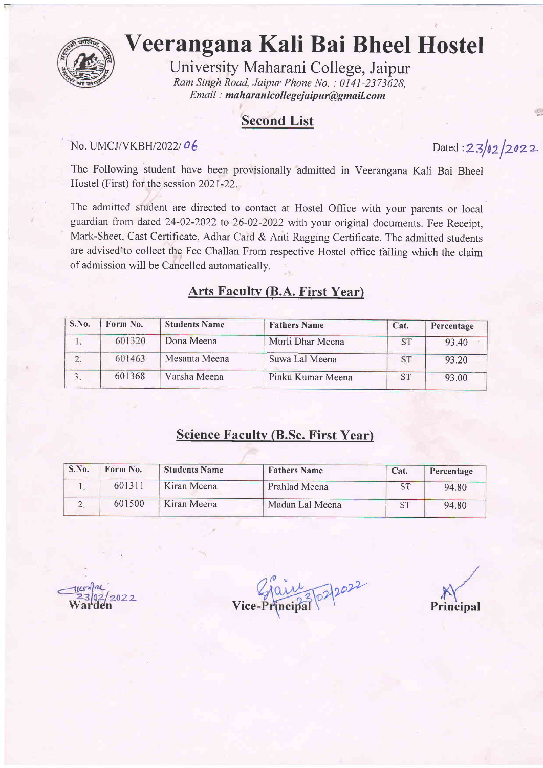

# Veerangana Kali Bai Bheel Hostel

University Maharani College, Jaipur Ram Singh Road, Jaipur Phone No. : 0l4l-2373628, Email : maharanicollegejaipur@gmail.com

## Second List

#### No. UMCJ/VKBH/2022/06

Dated :  $23/02/2022$ 

The Following student have been provisionally admitted in Veerangana Kali Bai Bheel Hostel (First) for the session 2021-22.

The admitted student are directed to contact at Hostel Office with your parents or local guardian from dated 24-02-2022 to 26-02-2022 with your original documents. Fee Receipt, Mark-Sheet, Cast Certificate, Adhar Card & Anti Ragging Certificate. The admitted students are advised'to collect the Fee Challan From respective Hostel office failing which the claim of admission will be Cancelled automaticallv.

#### Arts Faculty (B.A. First Year)

| S.No. | Form No. | <b>Students Name</b> | <b>Fathers Name</b> | Cat.      | Percentage |
|-------|----------|----------------------|---------------------|-----------|------------|
|       | 601320   | Dona Meena           | Murli Dhar Meena    | <b>ST</b> | 93.40      |
|       | 601463   | Mesanta Meena        | Suwa Lal Meena      | <b>ST</b> | 93.20      |
|       | 601368   | Varsha Meena         | Pinku Kumar Meena   | <b>ST</b> | 93.00      |

#### Science Faculty (B.Sc. First Year)

| S.No. | Form No. | <b>Students Name</b> | <b>Fathers Name</b> | Cat.      | Percentage |
|-------|----------|----------------------|---------------------|-----------|------------|
|       | 601311   | Kiran Meena          | Prahlad Meena       | <b>ST</b> | 94.80      |
|       | 601500   | Kiran Meena          | Madan Lal Meena     | <b>ST</b> | 94.80      |

 $\frac{1}{100}$   $\frac{1}{202}$ Vice-I

Principal